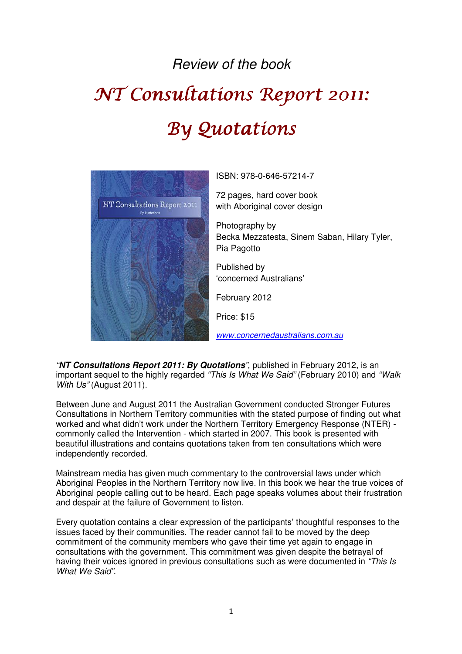## Review of the book

## NT Consultations Report 2011: By Quotations



ISBN: 978-0-646-57214-7

72 pages, hard cover book with Aboriginal cover design

Photography by Becka Mezzatesta, Sinem Saban, Hilary Tyler, Pia Pagotto

Published by 'concerned Australians'

February 2012

Price: \$15

www.concernedaustralians.com.au

"**NT Consultations Report 2011: By Quotations**", published in February 2012, is an important sequel to the highly regarded "This Is What We Said" (February 2010) and "Walk With Us" (August 2011).

Between June and August 2011 the Australian Government conducted Stronger Futures Consultations in Northern Territory communities with the stated purpose of finding out what worked and what didn't work under the Northern Territory Emergency Response (NTER) commonly called the Intervention - which started in 2007. This book is presented with beautiful illustrations and contains quotations taken from ten consultations which were independently recorded.

Mainstream media has given much commentary to the controversial laws under which Aboriginal Peoples in the Northern Territory now live. In this book we hear the true voices of Aboriginal people calling out to be heard. Each page speaks volumes about their frustration and despair at the failure of Government to listen.

Every quotation contains a clear expression of the participants' thoughtful responses to the issues faced by their communities. The reader cannot fail to be moved by the deep commitment of the community members who gave their time yet again to engage in consultations with the government. This commitment was given despite the betrayal of having their voices ignored in previous consultations such as were documented in "This Is What We Said".